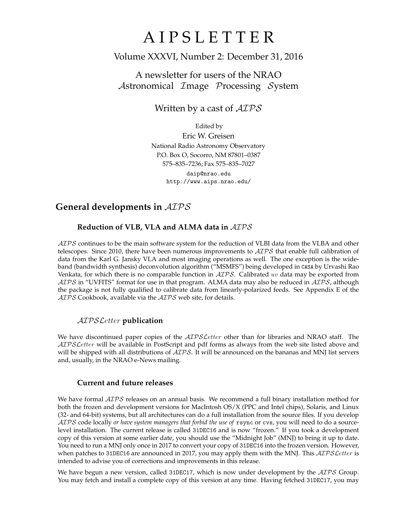# A I P S L E T T E R

# Volume XXXVI, Number 2: December 31, 2016

# A newsletter for users of the NRAO Astronomical Image Processing System

Written by a cast of  $AIPS$ 

Edited by Eric W. Greisen National Radio Astronomy Observatory P.O. Box O, Socorro, NM 87801–0387 575–835–7236; Fax 575–835–7027 daip@nrao.edu

http://www.aips.nrao.edu/

# **General developments in** AIPS

# **Reduction of VLB, VLA and ALMA data in** AIPS

 $ATPS$  continues to be the main software system for the reduction of VLBI data from the VLBA and other telescopes. Since 2010, there have been numerous improvements to  $AIPS$  that enable full calibration of data from the Karl G. Jansky VLA and most imaging operations as well. The one exception is the wideband (bandwidth synthesis) deconvolution algorithm ("MSMFS") being developed in CASA by Urvashi Rao Venkata, for which there is no comparable function in  $\mathcal{AIPS}$ . Calibrated uv data may be exported from  $AIPS$  in "UVFITS" format for use in that program. ALMA data may also be reduced in  $AIPS$ , although the package is not fully qualified to calibrate data from linearly-polarized feeds. See Appendix E of the  $AIPS$  Cookbook, available via the  $AIPS$  web site, for details.

### AIPSLetter **publication**

We have discontinued paper copies of the  $ATPSLetter$  other than for libraries and NRAO staff. The AIPS Letter will be available in PostScript and pdf forms as always from the web site listed above and will be shipped with all distributions of  $AIPS$ . It will be announced on the bananas and MNJ list servers and, usually, in the NRAO e-News mailing.

### **Current and future releases**

We have formal  $\mathcal{AIPS}$  releases on an annual basis. We recommend a full binary installation method for both the frozen and development versions for MacIntosh OS/X (PPC and Intel chips), Solaris, and Linux (32- and 64-bit) systems, but all architectures can do a full installation from the source files. If you develop AIPS code locally *or have system managers that forbid the use of* rsync or cvs, you will need to do a sourcelevel installation. The current release is called 31DEC16 and is now "frozen." If you took a development copy of this version at some earlier date, you should use the "Midnight Job" (MNJ) to bring it up to date. You need to run a MNJ only once in 2017 to convert your copy of 31DEC16 into the frozen version. However, when patches to 31DEC16 are announced in 2017, you may apply them with the MNJ. This  $\mathcal{AIPS}\mathcal{L}etter$  is intended to advise you of corrections and improvements in this release.

We have begun a new version, called 31DEC17, which is now under development by the  $\mathcal{AIPS}$  Group. You may fetch and install a complete copy of this version at any time. Having fetched 31DEC17, you may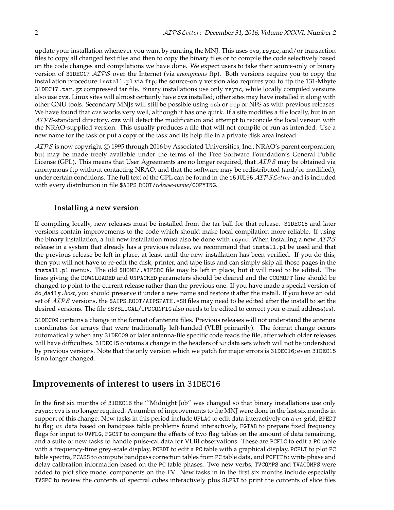update your installation whenever you want by running the MNJ. This uses cvs, rsync, and/or transaction files to copy all changed text files and then to copy the binary files or to compile the code selectively based on the code changes and compilations we have done. We expect users to take their source-only or binary version of 31DEC17 AIPS over the Internet (via *anonymous* ftp). Both versions require you to copy the installation procedure install.pl via ftp; the source-only version also requires you to ftp the 131-Mbyte 31DEC17.tar.gz compressed tar file. Binary installations use only rsync, while locally compiled versions also use cvs. Linux sites will almost certainly have cvs installed; other sites may have installed it along with other GNU tools. Secondary MNJs will still be possible using ssh or rcp or NFS as with previous releases. We have found that cvs works very well, although it has one quirk. If a site modifies a file locally, but in an AIPS-standard directory, cvs will detect the modification and attempt to reconcile the local version with the NRAO-supplied version. This usually produces a file that will not compile or run as intended. Use a new name for the task or put a copy of the task and its help file in a private disk area instead.

AIPS is now copyright C 1995 through 2016 by Associated Universities, Inc., NRAO's parent corporation, but may be made freely available under the terms of the Free Software Foundation's General Public License (GPL). This means that User Agreements are no longer required, that  $\mathcal{AIPS}$  may be obtained via anonymous ftp without contacting NRAO, and that the software may be redistributed (and/or modified), under certain conditions. The full text of the GPL can be found in the 15JUL95 AIPS Letter and is included with every distribution in file \$AIPS ROOT/*release-name*/COPYING.

#### **Installing a new version**

If compiling locally, new releases must be installed from the tar ball for that release. 31DEC15 and later versions contain improvements to the code which should make local compilation more reliable. If using the binary installation, a full new installation must also be done with rsync. When installing a new  $\mathcal{AIPS}$ release in a system that already has a previous release, we recommend that install.pl be used and that the previous release be left in place, at least until the new installation has been verified. If you do this, then you will not have to re-edit the disk, printer, and tape lists and can simply skip all those pages in the install.pl menus. The old \$HOME/.AIPSRC file may be left in place, but it will need to be edited. The lines giving the DOWNLOADED and UNPACKED parameters should be cleared and the CCOMOPT line should be changed to point to the current release rather than the previous one. If you have made a special version of do daily.*host*, you should preserve it under a new name and restore it after the install. If you have an odd set of  $\mathcal{AIPS}$  versions, the \$AIPS\_ROOT/AIPSPATH. \*SH files may need to be edited after the install to set the desired versions. The file \$SYSLOCAL/UPDCONFIG also needs to be edited to correct your e-mail address(es).

31DEC09 contains a change in the format of antenna files. Previous releases will not understand the antenna coordinates for arrays that were traditionally left-handed (VLBI primarily). The format change occurs automatically when any 31DEC09 or later antenna-file specific code reads the file, after which older releases will have difficulties. 31DEC15 contains a change in the headers of  $uv$  data sets which will not be understood by previous versions. Note that the only version which we patch for major errors is 31DEC16; even 31DEC15 is no longer changed.

# **Improvements of interest to users in** 31DEC16

In the first six months of 31DEC16 the "'Midnight Job" was changed so that binary installations use only rsync; cvs is no longer required. A number of improvements to the MNJ were done in the last six months in support of this change. New tasks in this period include UFLAG to edit data interactively on a uv grid, BPEDT to flag uv data based on bandpass table problems found interactively, FGTAB to prepare fixed frequency flags for input to UVFLG, FGCNT to compare the effects of two flag tables on the amount of data remaining, and a suite of new tasks to handle pulse-cal data for VLBI observations. These are PCFLG to edit a PC table with a frequency-time grey-scale display, PCEDT to edit a PC table with a graphical display, PCPLT to plot PC table spectra, PCASS to compute bandpass correction tables from PC table data, and PCFIT to write phase and delay calibration information based on the PC table phases. Two new verbs, TVCOMPS and TVACOMPS were added to plot slice model components on the TV. New tasks in in the first six months include especially TVSPC to review the contents of spectral cubes interactively plus SLPRT to print the contents of slice files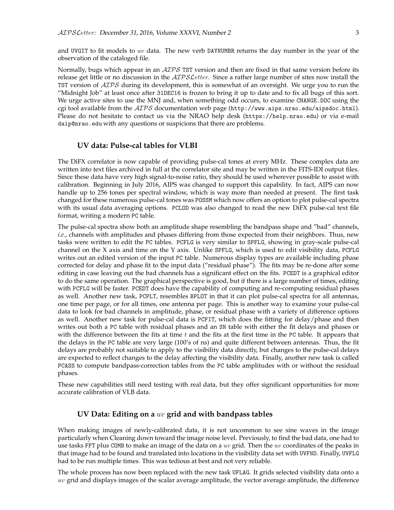and UVGIT to fit models to uv data. The new verb DAYNUMBR returns the day number in the year of the observation of the cataloged file.

Normally, bugs which appear in an  $\mathcal{AIPS}$  TST version and then are fixed in that same version before its release get little or no discussion in the  $ATPSLetter$ . Since a rather large number of sites now install the TST version of  $\mathcal{AIPS}$  during its development, this is somewhat of an oversight. We urge you to run the "Midnight Job" at least once after 31DEC16 is frozen to bring it up to date and to fix all bugs of this sort. We urge active sites to use the MNJ and, when something odd occurs, to examine CHANGE.DOC using the cgi tool available from the  $AIPS$  documentation web page (http://www.aips.nrao.edu/aipsdoc.html). Please do not hesitate to contact us via the NRAO help desk (https://help.nrao.edu) or via e-mail daip@nrao.edu with any questions or suspicions that there are problems.

#### **UV data: Pulse-cal tables for VLBI**

The DiFX correlator is now capable of providing pulse-cal tones at every MHz. These complex data are written into text files archived in full at the correlator site and may be written in the FITS-IDI output files. Since these data have very high signal-to-noise ratio, they should be used wherever possible to assist with calibration. Beginning in July 2016, AIPS was changed to support this capability. In fact, AIPS can now handle up to 256 tones per spectral window, which is way more than needed at present. The first task changed for these numerous pulse-cal tones was POSSM which now offers an option to plot pulse-cal spectra with its usual data averaging options. PCLOD was also changed to read the new DiFX pulse-cal text file format, writing a modern PC table.

The pulse-cal spectra show both an amplitude shape resembling the bandpass shape and "bad" channels, *i.e.*, channels with amplitudes and phases differing from those expected from their neighbors. Thus, new tasks were written to edit the PC tables. PCFLG is very similar to SPFLG, showing in gray-scale pulse-cal channel on the X axis and time on the Y axis. Unlike SPFLG, which is used to edit visibility data, PCFLG writes out an edited version of the input PC table. Numerous display types are available including phase corrected for delay and phase fit to the input data ("residual phase"). The fits may be re-done after some editing in case leaving out the bad channels has a significant effect on the fits. PCEDT is a graphical editor to do the same operation. The graphical perspective is good, but if there is a large number of times, editing with PCFLG will be faster. PCEDT does have the capability of computing and re-computing residual phases as well. Another new task, PCPLT, resembles BPLOT in that it can plot pulse-cal spectra for all antennas, one time per page, or for all times, one antenna per page. This is another way to examine your pulse-cal data to look for bad channels in amplitude, phase, or residual phase with a variety of difference options as well. Another new task for pulse-cal data is PCFIT, which does the fitting for delay/phase and then writes out both a PC table with residual phases and an SN table with either the fit delays and phases or with the difference between the fits at time  $t$  and the fits at the first time in the PC table. It appears that the delays in the PC table are very large (100's of ns) and quite different between antennas. Thus, the fit delays are probably not suitable to apply to the visibility data directly, but changes to the pulse-cal delays are expected to reflect changes to the delay affecting the visibility data. Finally, another new task is called PCASS to compute bandpass-correction tables from the PC table amplitudes with or without the residual phases.

These new capabilities still need testing with real data, but they offer significant opportunities for more accurate calibration of VLB data.

#### **UV Data: Editing on a** uv **grid and with bandpass tables**

When making images of newly-calibrated data, it is not uncommon to see sine waves in the image particularly when Cleaning down toward the image noise level. Previously, to find the bad data, one had to use tasks FFT plus COMB to make an image of the data on a  $uv$  grid. Then the  $uv$  coordinates of the peaks in that image had to be found and translated into locations in the visibility data set with UVFND. Finally, UVFLG had to be run multiple times. This was tedious at best and not very reliable.

The whole process has now been replaced with the new task UFLAG. It grids selected visibility data onto a  $uv$  grid and displays images of the scalar average amplitude, the vector average amplitude, the difference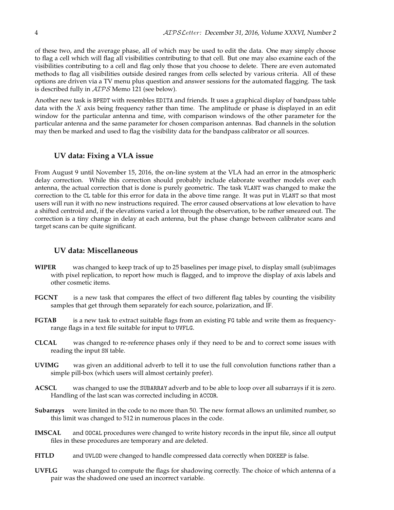of these two, and the average phase, all of which may be used to edit the data. One may simply choose to flag a cell which will flag all visibilities contributing to that cell. But one may also examine each of the visibilities contributing to a cell and flag only those that you choose to delete. There are even automated methods to flag all visibilities outside desired ranges from cells selected by various criteria. All of these options are driven via a TV menu plus question and answer sessions for the automated flagging. The task is described fully in AIPS Memo 121 (see below).

Another new task is BPEDT with resembles EDITA and friends. It uses a graphical display of bandpass table data with the  $X$  axis being frequency rather than time. The amplitude or phase is displayed in an edit window for the particular antenna and time, with comparison windows of the other parameter for the particular antenna and the same parameter for chosen comparison antennas. Bad channels in the solution may then be marked and used to flag the visibility data for the bandpass calibrator or all sources.

#### **UV data: Fixing a VLA issue**

From August 9 until November 15, 2016, the on-line system at the VLA had an error in the atmospheric delay correction. While this correction should probably include elaborate weather models over each antenna, the actual correction that is done is purely geometric. The task VLANT was changed to make the correction to the CL table for this error for data in the above time range. It was put in VLANT so that most users will run it with no new instructions required. The error caused observations at low elevation to have a shifted centroid and, if the elevations varied a lot through the observation, to be rather smeared out. The correction is a tiny change in delay at each antenna, but the phase change between calibrator scans and target scans can be quite significant.

#### **UV data: Miscellaneous**

- **WIPER** was changed to keep track of up to 25 baselines per image pixel, to display small (sub)images with pixel replication, to report how much is flagged, and to improve the display of axis labels and other cosmetic items.
- **FGCNT** is a new task that compares the effect of two different flag tables by counting the visibility samples that get through them separately for each source, polarization, and IF.
- **FGTAB** is a new task to extract suitable flags from an existing FG table and write them as frequencyrange flags in a text file suitable for input to UVFLG.
- **CLCAL** was changed to re-reference phases only if they need to be and to correct some issues with reading the input SN table.
- **UVIMG** was given an additional adverb to tell it to use the full convolution functions rather than a simple pill-box (which users will almost certainly prefer).
- **ACSCL** was changed to use the SUBARRAY adverb and to be able to loop over all subarrays if it is zero. Handling of the last scan was corrected including in ACCOR.
- **Subarrays** were limited in the code to no more than 50. The new format allows an unlimited number, so this limit was changed to 512 in numerous places in the code.
- **IMSCAL** and OOCAL procedures were changed to write history records in the input file, since all output files in these procedures are temporary and are deleted.
- **FITLD** and UVLOD were changed to handle compressed data correctly when DOKEEP is false.
- **UVFLG** was changed to compute the flags for shadowing correctly. The choice of which antenna of a pair was the shadowed one used an incorrect variable.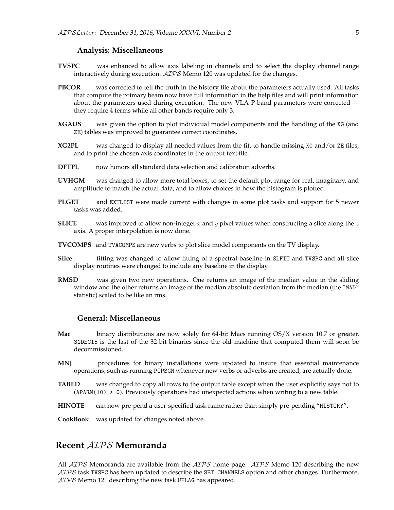#### **Analysis: Miscellaneous**

- **TVSPC** was enhanced to allow axis labeling in channels and to select the display channel range interactively during execution. ATPS Memo 120 was updated for the changes.
- **PBCOR** was corrected to tell the truth in the history file about the parameters actually used. All tasks that compute the primary beam now have full information in the help files and will print information about the parameters used during execution. The new VLA P-band parameters were corrected they require 4 terms while all other bands require only 3.
- **XGAUS** was given the option to plot individual model components and the handling of the XG (and ZE) tables was improved to guarantee correct coordinates.
- **XG2PL** was changed to display all needed values from the fit, to handle missing XG and/or ZE files, and to print the chosen axis coordinates in the output text file.
- **DFTPL** now honors all standard data selection and calibration adverbs.
- **UVHGM** was changed to allow more total boxes, to set the default plot range for real, imaginary, and amplitude to match the actual data, and to allow choices in how the histogram is plotted.
- **PLGET** and EXTLIST were made current with changes in some plot tasks and support for 5 newer tasks was added.
- **SLICE** was improved to allow non-integer x and y pixel values when constructing a slice along the z axis. A proper interpolation is now done.
- **TVCOMPS** and TVACOMPS are new verbs to plot slice model components on the TV display.
- **Slice** fitting was changed to allow fitting of a spectral baseline in SLFIT and TVSPC and all slice display routines were changed to include any baseline in the display.
- **RMSD** was given two new operations. One returns an image of the median value in the sliding window and the other returns an image of the median absolute deviation from the median (the "MAD" statistic) scaled to be like an rms.

#### **General: Miscellaneous**

- **Mac** binary distributions are now solely for 64-bit Macs running OS/X version 10.7 or greater. 31DEC15 is the last of the 32-bit binaries since the old machine that computed them will soon be decommissioned.
- **MNJ** procedures for binary installations were updated to insure that essential maintenance operations, such as running POPSGN whenever new verbs or adverbs are created, are actually done.
- **TABED** was changed to copy all rows to the output table except when the user explicitly says not to  $(APARM(10) > 0)$ . Previously operations had unexpected actions when writing to a new table.
- **HINOTE** can now pre-pend a user-specified task name rather than simply pre-pending "HISTORY".

**CookBook** was updated for changes noted above.

# **Recent** AIPS **Memoranda**

All  $ATPS$  Memoranda are available from the  $ATPS$  home page.  $ATPS$  Memo 120 describing the new  $ATPS$  task TVSPC has been updated to describe the SET CHANNELS option and other changes. Furthermore,  $AIPS$  Memo 121 describing the new task UFLAG has appeared.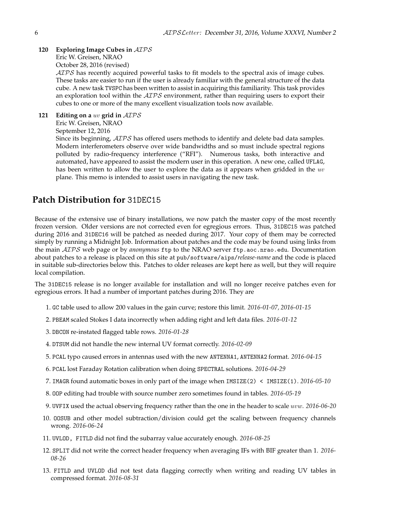#### **120 Exploring Image Cubes in** AIPS Eric W. Greisen, NRAO

October 28, 2016 (revised)

AIPS has recently acquired powerful tasks to fit models to the spectral axis of image cubes. These tasks are easier to run if the user is already familiar with the general structure of the data cube. A new task TVSPC has been written to assist in acquiring this familiarity. This task provides an exploration tool within the  $ATPS$  environment, rather than requiring users to export their cubes to one or more of the many excellent visualization tools now available.

**121 Editing on a** uv **grid in** AIPS Eric W. Greisen, NRAO September 12, 2016

Since its beginning,  $\mathcal{AIPS}$  has offered users methods to identify and delete bad data samples. Modern interferometers observe over wide bandwidths and so must include spectral regions polluted by radio-frequency interference ("RFI"). Numerous tasks, both interactive and automated, have appeared to assist the modern user in this operation. A new one, called UFLAG, has been written to allow the user to explore the data as it appears when gridded in the  $uv$ plane. This memo is intended to assist users in navigating the new task.

# **Patch Distribution for** 31DEC15

Because of the extensive use of binary installations, we now patch the master copy of the most recently frozen version. Older versions are not corrected even for egregious errors. Thus, 31DEC15 was patched during 2016 and 31DEC16 will be patched as needed during 2017. Your copy of them may be corrected simply by running a Midnight Job. Information about patches and the code may be found using links from the main AIPS web page or by *anonymous* ftp to the NRAO server ftp.aoc.nrao.edu. Documentation about patches to a release is placed on this site at pub/software/aips/*release-name* and the code is placed in suitable sub-directories below this. Patches to older releases are kept here as well, but they will require local compilation.

The 31DEC15 release is no longer available for installation and will no longer receive patches even for egregious errors. It had a number of important patches during 2016. They are

- 1. GC table used to allow 200 values in the gain curve; restore this limit. *2016-01-07, 2016-01-15*
- 2. PBEAM scaled Stokes I data incorrectly when adding right and left data files. *2016-01-12*
- 3. DBCON re-instated flagged table rows. *2016-01-28*
- 4. DTSUM did not handle the new internal UV format correctly. *2016-02-09*
- 5. PCAL typo caused errors in antennas used with the new ANTENNA1, ANTENNA2 format. *2016-04-15*
- 6. PCAL lost Faraday Rotation calibration when doing SPECTRAL solutions. *2016-04-29*
- 7. IMAGR found automatic boxes in only part of the image when IMSIZE(2) < IMSIZE(1). *2016-05-10*
- 8. OOP editing had trouble with source number zero sometimes found in tables. *2016-05-19*
- 9. UVFIX used the actual observing frequency rather than the one in the header to scale uvw. *2016-06-20*
- 10. OOSUB and other model subtraction/division could get the scaling between frequency channels wrong. *2016-06-24*
- 11. UVLOD, FITLD did not find the subarray value accurately enough. *2016-08-25*
- 12. SPLIT did not write the correct header frequency when averaging IFs with BIF greater than 1. *2016- 08-26*
- 13. FITLD and UVLOD did not test data flagging correctly when writing and reading UV tables in compressed format. *2016-08-31*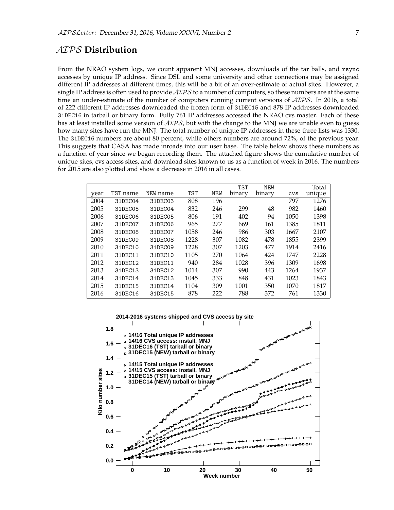# AIPS **Distribution**

From the NRAO system logs, we count apparent MNJ accesses, downloads of the tar balls, and rsync accesses by unique IP address. Since DSL and some university and other connections may be assigned different IP addresses at different times, this will be a bit of an over-estimate of actual sites. However, a single IP address is often used to provide  $AIPS$  to a number of computers, so these numbers are at the same time an under-estimate of the number of computers running current versions of  $\mathcal{AIPS}$ . In 2016, a total of 222 different IP addresses downloaded the frozen form of 31DEC15 and 878 IP addresses downloaded 31DEC16 in tarball or binary form. Fully 761 IP addresses accessed the NRAO cvs master. Each of these has at least installed some version of  $AIPS$ , but with the change to the MNJ we are unable even to guess how many sites have run the MNJ. The total number of unique IP addresses in these three lists was 1330. The 31DEC16 numbers are about 80 percent, while others numbers are around 72%, of the previous year. This suggests that CASA has made inroads into our user base. The table below shows these numbers as a function of year since we began recording them. The attached figure shows the cumulative number of unique sites, cvs access sites, and download sites known to us as a function of week in 2016. The numbers for 2015 are also plotted and show a decrease in 2016 in all cases.

|      |          |          |      |            | <b>TST</b> | <b>NEW</b> |        | Total  |
|------|----------|----------|------|------------|------------|------------|--------|--------|
| year | TST name | NEW name | TST  | <b>NEW</b> | binary     | binary     | $\cos$ | unique |
| 2004 | 31DEC04  | 31DEC03  | 808  | 196        |            |            | 797    | 1276   |
| 2005 | 31DEC05  | 31DEC04  | 832  | 246        | 299        | 48         | 982    | 1460   |
| 2006 | 31DEC06  | 31DEC05  | 806  | 191        | 402        | 94         | 1050   | 1398   |
| 2007 | 31DEC07  | 31DEC06  | 965  | 277        | 669        | 161        | 1385   | 1811   |
| 2008 | 31DEC08  | 31DEC07  | 1058 | 246        | 986        | 303        | 1667   | 2107   |
| 2009 | 31DEC09  | 31DEC08  | 1228 | 307        | 1082       | 478        | 1855   | 2399   |
| 2010 | 31DEC10  | 31DEC09  | 1228 | 307        | 1203       | 477        | 1914   | 2416   |
| 2011 | 31DEC11  | 31DEC10  | 1105 | 270        | 1064       | 424        | 1747   | 2228   |
| 2012 | 31DEC12  | 31DEC11  | 940  | 284        | 1028       | 396        | 1309   | 1698   |
| 2013 | 31DEC13  | 31DEC12  | 1014 | 307        | 990        | 443        | 1264   | 1937   |
| 2014 | 31DEC14  | 31DEC13  | 1045 | 333        | 848        | 431        | 1023   | 1843   |
| 2015 | 31DEC15  | 31DEC14  | 1104 | 309        | 1001       | 350        | 1070   | 1817   |
| 2016 | 31DEC16  | 31DEC15  | 878  | 222        | 788        | 372        | 761    | 1330   |

**2014-2016 systems shipped and CVS access by site**